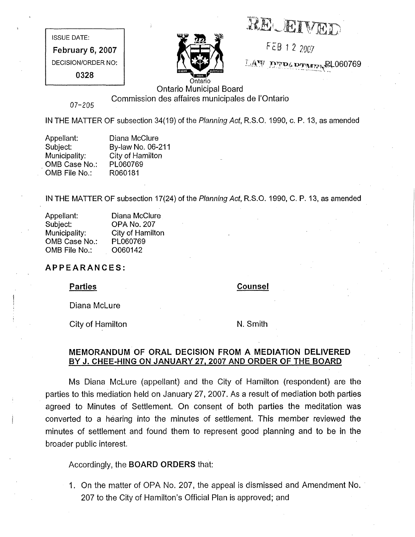RECEIVED

FEB 12 2007

LAW DEDGEMANT RL060769

ISSUE DATE: February 6, 2007 DECISION/ORDER NO: 0328



Ontario Municipal Board Commission des affaires municipales de I'Ontario

07-205

IN THE MATTER OF subsection 34(19) of the Planning Act, R.S.O. 1990, c. P. 13, as amended

| Appellant:    | Diana McClure     |
|---------------|-------------------|
| Subject:      | By-law No. 06-211 |
| Municipality: | City of Hamilton  |
| OMB Case No.: | PL060769          |
| OMB File No.: | R060181           |

IN THE MATTER OF subsection 17(24) of the Planning Act, R.S.O. 1990, C. P. 13, as amended

| Appellant:    | Diana McClure      |
|---------------|--------------------|
| Subject:      | <b>OPA No. 207</b> |
| Municipality: | City of Hamilton   |
| OMB Case No.: | PL060769           |
| OMB File No.: | O060142            |

# APPEARANCES:

## **Parties**

**Counsel** 

Diana McLure

City of Hamilton

N. Smith

# MEMORANDUM OF ORAL DECISION FROM A MEDIATION DELIVERED BY J. CHEE-HING ON JANUARY 27, 2007 AND ORDER OF THE BOARD

Ms Diana McLure (appellant) and the City of Hamilton (respondent) are the parties to this mediation held on January 27, 2007. As a result of mediation both parties agreed to Minutes of Settlement. On consent of both parties the meditation was converted to a hearing into the minutes of settlement. This member reviewed the minutes of settlement and found them to represent good planning and to be in the broader public interest.

Accordingly, the BOARD ORDERS that:

1. On the matter of OPA No. 207, the appeal is dismissed and Amendment No. 207 to the City of Hamilton's Official Plan is approved; and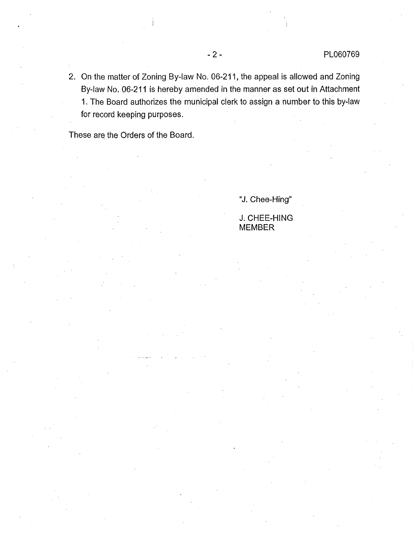, On the matter of Zoning By-law No. 06-211, the appeal is allowed and Zoning By-law No. 06-211 is hereby amended in the manner as set out in Attachment 1. The Board authorizes the municipal clerk to assign a number to this by-law for record keeping purposes.

These are the Orders of the Board.

"J. Chee-Hing"

J. CHEE-HING MEMBER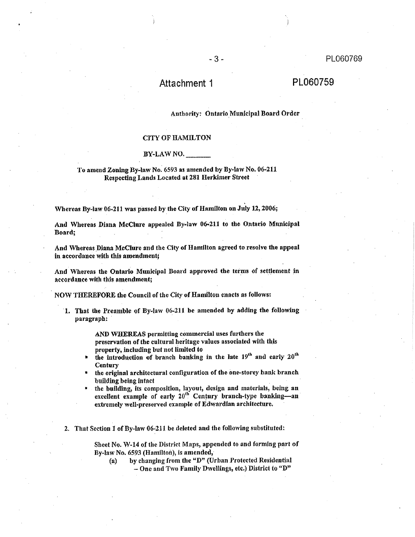# Attachment 1 PL060759

### Authority: Ontario Municipal Board Order

### CITY OF HAMILTON

### BY-LAW NO,

### To amend Zoning By-law No. 6593 as amended by By-law No. 06-2il Respecting Lands Located at 281 Herkimer Street

Whereas By-law 06-211 was passed by the City of Hamilton on July 12, 2006;

And Whereas Diana McClure appealed By-law 06-211 to the Ontario Municipal Board;

And Whereas Diana McClure and the City of Hamilton agreed to resolve the appeal in accordance with this amendment;

And Whereas the Ontario Municipal Board approved the terms of settlement in accordance with this amendment;

NOW THEREFORE the Council of the City of Hamilton enacts as follows:

1, That the Preamble of By-law 06-21! be amended by adding the following paragraph: "

> AND WHEREAS permitting commercial uses furthers the preservation of the cultural heritage values associated with this property, including but not limited to

- the introduction of branch banking in the late  $19^{th}$  and early  $20^{th}$ **Century**
- the original architectural configuration of the one-storey bank branch building being intact
- J the building, its composition, layout, design and materials, being an. excellent example of early 20<sup>th</sup> Century branch-type banking-an extremely well-preserved example of Edwardian architecture,

2. That Section I of By-law 06-211 be deleted and the following substituted:

Sheet No. W-14 of the District Maps, appended to and forming part of By.law No. 6593 (Hamilton), is amended,

(a) by changing from the "D" (Urban Protected Residential  $-$  One and Two Family Dwellings, etc.) District to "D"